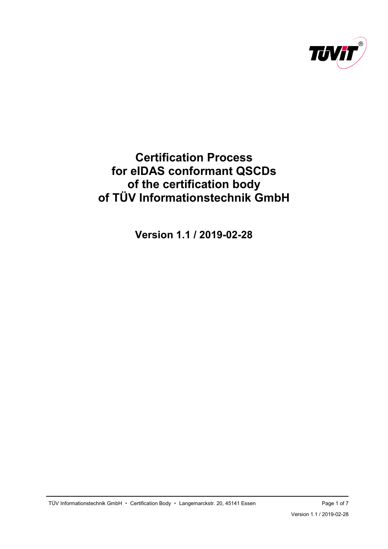

# <span id="page-0-0"></span>**Certification Process for eIDAS conformant QSCDs of the certification body of TÜV Informationstechnik GmbH**

**[Version 1.1](#page-6-0) / [2019-02-28](#page-0-0)**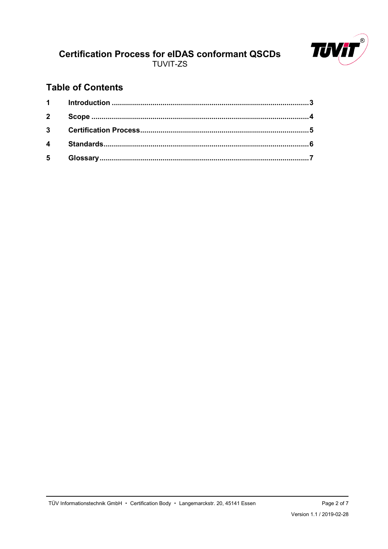

## **Table of Contents**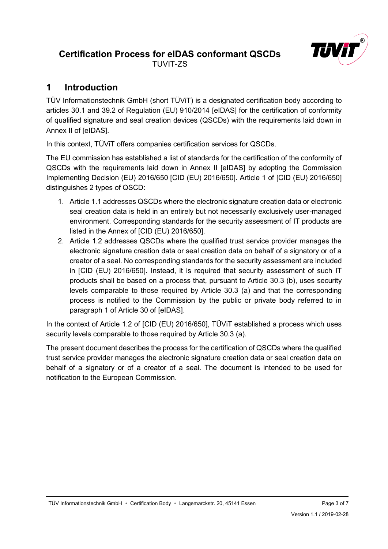

## <span id="page-2-0"></span>**1 Introduction**

TÜV Informationstechnik GmbH (short TÜViT) is a designated certification body according to articles 30.1 and 39.2 of Regulation (EU) 910/2014 [eIDAS] for the certification of conformity of qualified signature and seal creation devices (QSCDs) with the requirements laid down in Annex II of [eIDAS].

In this context, TÜViT offers companies certification services for QSCDs.

The EU commission has established a list of standards for the certification of the conformity of QSCDs with the requirements laid down in Annex II [eIDAS] by adopting the Commission Implementing Decision (EU) 2016/650 [CID (EU) 2016/650]. Article 1 of [CID (EU) 2016/650] distinguishes 2 types of QSCD:

- 1. Article 1.1 addresses QSCDs where the electronic signature creation data or electronic seal creation data is held in an entirely but not necessarily exclusively user-managed environment. Corresponding standards for the security assessment of IT products are listed in the Annex of [CID (EU) 2016/650].
- 2. Article 1.2 addresses QSCDs where the qualified trust service provider manages the electronic signature creation data or seal creation data on behalf of a signatory or of a creator of a seal. No corresponding standards for the security assessment are included in [CID (EU) 2016/650]. Instead, it is required that security assessment of such IT products shall be based on a process that, pursuant to Article 30.3 (b), uses security levels comparable to those required by Article 30.3 (a) and that the corresponding process is notified to the Commission by the public or private body referred to in paragraph 1 of Article 30 of [eIDAS].

In the context of Article 1.2 of [CID (EU) 2016/650], TÜViT established a process which uses security levels comparable to those required by Article 30.3 (a).

The present document describes the process for the certification of QSCDs where the qualified trust service provider manages the electronic signature creation data or seal creation data on behalf of a signatory or of a creator of a seal. The document is intended to be used for notification to the European Commission.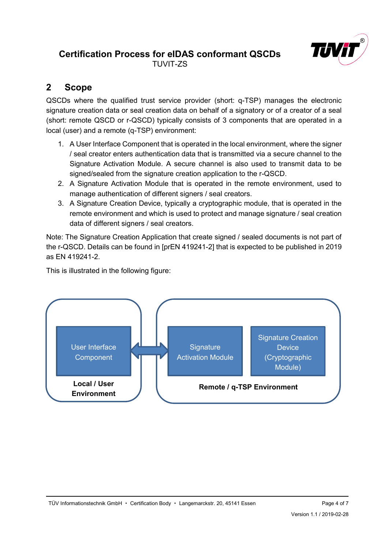

## <span id="page-3-0"></span>**2 Scope**

QSCDs where the qualified trust service provider (short: q-TSP) manages the electronic signature creation data or seal creation data on behalf of a signatory or of a creator of a seal (short: remote QSCD or r-QSCD) typically consists of 3 components that are operated in a local (user) and a remote (q-TSP) environment:

- 1. A User Interface Component that is operated in the local environment, where the signer / seal creator enters authentication data that is transmitted via a secure channel to the Signature Activation Module. A secure channel is also used to transmit data to be signed/sealed from the signature creation application to the r-QSCD.
- 2. A Signature Activation Module that is operated in the remote environment, used to manage authentication of different signers / seal creators.
- 3. A Signature Creation Device, typically a cryptographic module, that is operated in the remote environment and which is used to protect and manage signature / seal creation data of different signers / seal creators.

Note: The Signature Creation Application that create signed / sealed documents is not part of the r-QSCD. Details can be found in [prEN 419241-2] that is expected to be published in 2019 as EN 419241-2.

This is illustrated in the following figure:

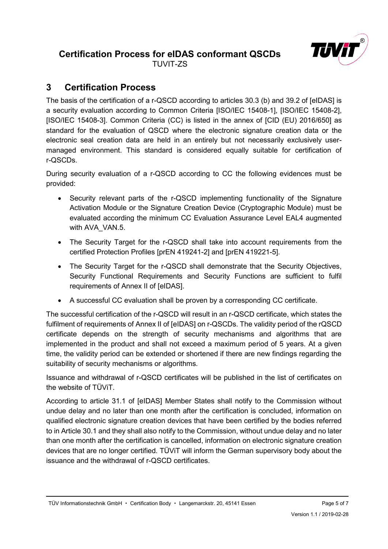

TUVIT-ZS

## <span id="page-4-0"></span>**3 Certification Process**

The basis of the certification of a r-QSCD according to articles 30.3 (b) and 39.2 of [eIDAS] is a security evaluation according to Common Criteria [ISO/IEC 15408-1], [ISO/IEC 15408-2], [ISO/IEC 15408-3]. Common Criteria (CC) is listed in the annex of [CID (EU) 2016/650] as standard for the evaluation of QSCD where the electronic signature creation data or the electronic seal creation data are held in an entirely but not necessarily exclusively usermanaged environment. This standard is considered equally suitable for certification of r-QSCDs.

During security evaluation of a r-QSCD according to CC the following evidences must be provided:

- Security relevant parts of the r-QSCD implementing functionality of the Signature Activation Module or the Signature Creation Device (Cryptographic Module) must be evaluated according the minimum CC Evaluation Assurance Level EAL4 augmented with AVA\_VAN.5.
- The Security Target for the r-QSCD shall take into account requirements from the certified Protection Profiles [prEN 419241-2] and [prEN 419221-5].
- The Security Target for the r-QSCD shall demonstrate that the Security Objectives, Security Functional Requirements and Security Functions are sufficient to fulfil requirements of Annex II of [eIDAS].
- A successful CC evaluation shall be proven by a corresponding CC certificate.

The successful certification of the r-QSCD will result in an r-QSCD certificate, which states the fulfilment of requirements of Annex II of [eIDAS] on r-QSCDs. The validity period of the rQSCD certificate depends on the strength of security mechanisms and algorithms that are implemented in the product and shall not exceed a maximum period of 5 years. At a given time, the validity period can be extended or shortened if there are new findings regarding the suitability of security mechanisms or algorithms.

Issuance and withdrawal of r-QSCD certificates will be published in the list of certificates on the website of TÜViT.

According to article 31.1 of [eIDAS] Member States shall notify to the Commission without undue delay and no later than one month after the certification is concluded, information on qualified electronic signature creation devices that have been certified by the bodies referred to in Article 30.1 and they shall also notify to the Commission, without undue delay and no later than one month after the certification is cancelled, information on electronic signature creation devices that are no longer certified. TÜViT will inform the German supervisory body about the issuance and the withdrawal of r-QSCD certificates.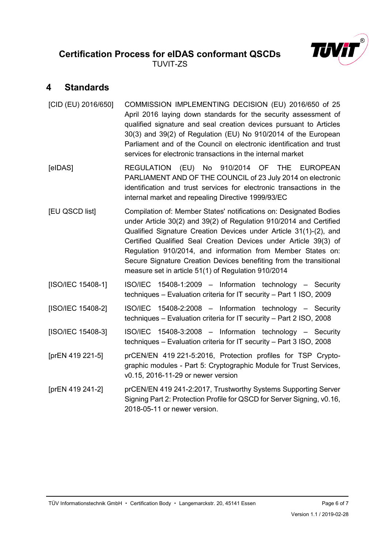### <span id="page-5-0"></span>**4 Standards**

| [CID (EU) 2016/650] | COMMISSION IMPLEMENTING DECISION (EU) 2016/650 of 25<br>April 2016 laying down standards for the security assessment of<br>qualified signature and seal creation devices pursuant to Articles<br>30(3) and 39(2) of Regulation (EU) No 910/2014 of the European<br>Parliament and of the Council on electronic identification and trust<br>services for electronic transactions in the internal market                                                                        |
|---------------------|-------------------------------------------------------------------------------------------------------------------------------------------------------------------------------------------------------------------------------------------------------------------------------------------------------------------------------------------------------------------------------------------------------------------------------------------------------------------------------|
| [elDAS]             | REGULATION (EU) No 910/2014 OF THE<br><b>EUROPEAN</b><br>PARLIAMENT AND OF THE COUNCIL of 23 July 2014 on electronic<br>identification and trust services for electronic transactions in the<br>internal market and repealing Directive 1999/93/EC                                                                                                                                                                                                                            |
| [EU QSCD list]      | Compilation of: Member States' notifications on: Designated Bodies<br>under Article 30(2) and 39(2) of Regulation 910/2014 and Certified<br>Qualified Signature Creation Devices under Article 31(1)-(2), and<br>Certified Qualified Seal Creation Devices under Article 39(3) of<br>Regulation 910/2014, and information from Member States on:<br>Secure Signature Creation Devices benefiting from the transitional<br>measure set in article 51(1) of Regulation 910/2014 |
| [ISO/IEC 15408-1]   | ISO/IEC 15408-1:2009 - Information technology - Security<br>techniques - Evaluation criteria for IT security - Part 1 ISO, 2009                                                                                                                                                                                                                                                                                                                                               |
| [ISO/IEC 15408-2]   | ISO/IEC 15408-2:2008 - Information technology - Security<br>techniques - Evaluation criteria for IT security - Part 2 ISO, 2008                                                                                                                                                                                                                                                                                                                                               |
| [ISO/IEC 15408-3]   | ISO/IEC 15408-3:2008 - Information technology - Security<br>techniques - Evaluation criteria for IT security - Part 3 ISO, 2008                                                                                                                                                                                                                                                                                                                                               |
| [prEN 419 221-5]    | prCEN/EN 419 221-5:2016, Protection profiles for TSP Crypto-<br>graphic modules - Part 5: Cryptographic Module for Trust Services,<br>v0.15, 2016-11-29 or newer version                                                                                                                                                                                                                                                                                                      |
| [prEN 419 241-2]    | prCEN/EN 419 241-2:2017, Trustworthy Systems Supporting Server<br>Signing Part 2: Protection Profile for QSCD for Server Signing, v0.16,<br>2018-05-11 or newer version.                                                                                                                                                                                                                                                                                                      |